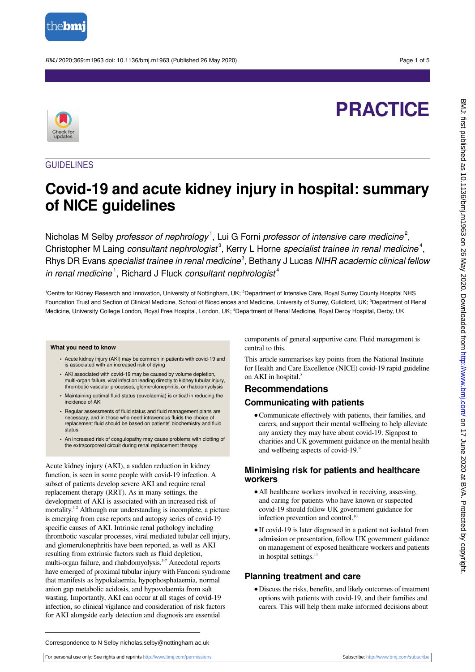

BMJ 2020;369:m1963 doi: 10.1136/bmj.m1963 (Published 26 May 2020) Page 1 of 5

# **PRACTICE**



# GUIDELINES

# **Covid-19 and acute kidney injury in hospital: summary of NICE guidelines**

Nicholas M Selby *professor of nephrology*<sup>1</sup>, Lui G Forni *professor of intensive care medicine*<sup>2</sup>, Christopher M Laing consultant nephrologist<sup>3</sup>, Kerry L Horne specialist trainee in renal medicine<sup>4</sup>, Rhys DR Evans specialist trainee in renal medicine<sup>3</sup>, Bethany J Lucas NIHR academic clinical fellow in renal medicine<sup>1</sup>, Richard J Fluck consultant nephrologist<sup>4</sup>

<sup>1</sup>Centre for Kidney Research and Innovation, University of Nottingham, UK; <sup>2</sup>Department of Intensive Care, Royal Surrey County Hospital NHS Foundation Trust and Section of Clinical Medicine, School of Biosciences and Medicine, University of Surrey, Guildford, UK; <sup>3</sup>Department of Renal Medicine, University College London, Royal Free Hospital, London, UK; <sup>4</sup>Department of Renal Medicine, Royal Derby Hospital, Derby, UK

#### **What you need to know**

- **•** Acute kidney injury (AKI) may be common in patients with covid-19 and is associated with an increased risk of dying
- **•** AKI associated with covid-19 may be caused by volume depletion, multi-organ failure, viral infection leading directly to kidney tubular injury, thrombotic vascular processes, glomerulonephritis, or rhabdomyolysis
- **•** Maintaining optimal fluid status (euvolaemia) is critical in reducing the incidence of AKI
- **•** Regular assessments of fluid status and fluid management plans are necessary, and in those who need intravenous fluids the choice of replacement fluid should be based on patients' biochemistry and fluid status
- **•** An increased risk of coagulopathy may cause problems with clotting of the extracorporeal circuit during renal replacement therapy

Acute kidney injury (AKI), a sudden reduction in kidney function, is seen in some people with covid-19 infection. A subset of patients develop severe AKI and require renal replacement therapy (RRT). As in many settings, the development of AKI is associated with an increased risk of mortality.<sup>12</sup> Although our understanding is incomplete, a picture is emerging from case reports and autopsy series of covid-19 specific causes of AKI. Intrinsic renal pathology including thrombotic vascular processes, viral mediated tubular cell injury, and glomerulonephritis have been reported, as well as AKI resulting from extrinsic factors such as fluid depletion, multi-organ failure, and rhabdomyolysis.<sup>3-7</sup> Anecdotal reports have emerged of proximal tubular injury with Fanconi syndrome that manifests as hypokalaemia, hypophosphataemia, normal anion gap metabolic acidosis, and hypovolaemia from salt wasting. Importantly, AKI can occur at all stages of covid-19 infection, so clinical vigilance and consideration of risk factors for AKI alongside early detection and diagnosis are essential

components of general supportive care. Fluid management is central to this.

This article summarises key points from the National Institute for Health and Care Excellence (NICE) covid-19 rapid guideline on AKI in hospital.<sup>8</sup>

# **Recommendations**

#### **Communicating with patients**

**•**Communicate effectively with patients, their families, and carers, and support their mental wellbeing to help alleviate any anxiety they may have about covid-19. Signpost to charities and UK government guidance on the mental health and wellbeing aspects of covid-19.9

#### **Minimising risk for patients and healthcare workers**

- **•**All healthcare workers involved in receiving, assessing, and caring for patients who have known or suspected covid-19 should follow UK government guidance for infection prevention and control.<sup>10</sup>
- **•**If covid-19 is later diagnosed in a patient not isolated from admission or presentation, follow UK government guidance on management of exposed healthcare workers and patients in hospital settings.<sup>11</sup>

#### **Planning treatment and care**

**•**Discuss the risks, benefits, and likely outcomes of treatment options with patients with covid-19, and their families and carers. This will help them make informed decisions about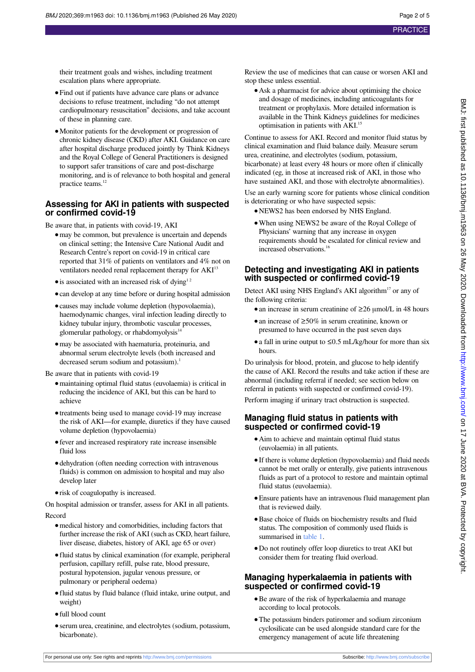their treatment goals and wishes, including treatment escalation plans where appropriate.

- **•**Find out if patients have advance care plans or advance decisions to refuse treatment, including "do not attempt cardiopulmonary resuscitation" decisions, and take account of these in planning care.
- **•**Monitor patients for the development or progression of chronic kidney disease (CKD) after AKI. Guidance on care after hospital discharge produced jointly by Think Kidneys and the Royal College of General Practitioners is designed to support safer transitions of care and post-discharge monitoring, and is of relevance to both hospital and general practice teams.<sup>12</sup>

# **Assessing for AKI in patients with suspected or confirmed covid-19**

Be aware that, in patients with covid-19, AKI

- may be common, but prevalence is uncertain and depends on clinical setting; the Intensive Care National Audit and Research Centre's report on covid-19 in critical care reported that 31% of patients on ventilators and 4% not on ventilators needed renal replacement therapy for AKI<sup>13</sup>
- is associated with an increased risk of dying<sup>12</sup>
- can develop at any time before or during hospital admission
- **•**causes may include volume depletion (hypovolaemia), haemodynamic changes, viral infection leading directly to kidney tubular injury, thrombotic vascular processes, glomerular pathology, or rhabdomyolysis<sup>14</sup>
- **•**may be associated with haematuria, proteinuria, and abnormal serum electrolyte levels (both increased and decreased serum sodium and potassium).<sup>1</sup>

Be aware that in patients with covid-19

- **•**maintaining optimal fluid status (euvolaemia) is critical in reducing the incidence of AKI, but this can be hard to achieve
- **•**treatments being used to manage covid-19 may increase the risk of AKI—for example, diuretics if they have caused volume depletion (hypovolaemia)
- **•**fever and increased respiratory rate increase insensible fluid loss
- **•**dehydration (often needing correction with intravenous fluids) is common on admission to hospital and may also develop later
- **•**risk of coagulopathy is increased.

On hospital admission or transfer, assess for AKI in all patients. Record

- **•**medical history and comorbidities, including factors that further increase the risk of AKI (such as CKD, heart failure, liver disease, diabetes, history of AKI, age 65 or over)
- **•**fluid status by clinical examination (for example, peripheral perfusion, capillary refill, pulse rate, blood pressure, postural hypotension, jugular venous pressure, or pulmonary or peripheral oedema)
- **•**fluid status by fluid balance (fluid intake, urine output, and weight)
- **•**full blood count
- **•**serum urea, creatinine, and electrolytes (sodium, potassium, bicarbonate).

Review the use of medicines that can cause or worsen AKI and stop these unless essential.

**•**Ask a pharmacist for advice about optimising the choice and dosage of medicines, including anticoagulants for treatment or prophylaxis. More detailed information is available in the Think Kidneys guidelines for medicines optimisation in patients with AKI.<sup>15</sup>

Continue to assess for AKI. Record and monitor fluid status by clinical examination and fluid balance daily. Measure serum urea, creatinine, and electrolytes (sodium, potassium, bicarbonate) at least every 48 hours or more often if clinically indicated (eg, in those at increased risk of AKI, in those who have sustained AKI, and those with electrolyte abnormalities).

Use an early warning score for patients whose clinical condition is deteriorating or who have suspected sepsis:

- **•**NEWS2 has been endorsed by NHS England.
- **•**When using NEWS2 be aware of the Royal College of Physicians' warning that any increase in oxygen requirements should be escalated for clinical review and increased observations.<sup>16</sup>

# **Detecting and investigating AKI in patients with suspected or confirmed covid-19**

Detect AKI using NHS England's AKI algorithm<sup>17</sup> or any of the following criteria:

- **•**an increase in serum creatinine of ≥26 μmol/L in 48 hours
- **•**an increase of ≥50% in serum creatinine, known or presumed to have occurred in the past seven days
- **•**a fall in urine output to ≤0.5 mL/kg/hour for more than six hours.

Do urinalysis for blood, protein, and glucose to help identify the cause of AKI. Record the results and take action if these are abnormal (including referral if needed; see section below on referral in patients with suspected or confirmed covid-19).

Perform imaging if urinary tract obstruction is suspected.

### **Managing fluid status in patients with suspected or confirmed covid-19**

- **•**Aim to achieve and maintain optimal fluid status (euvolaemia) in all patients.
- **•**If there is volume depletion (hypovolaemia) and fluid needs cannot be met orally or enterally, give patients intravenous fluids as part of a protocol to restore and maintain optimal fluid status (euvolaemia).
- **•**Ensure patients have an intravenous fluid management plan that is reviewed daily.
- **•**Base choice of fluids on biochemistry results and fluid status. The composition of commonly used fluids is summarised in [table 1.](#page-4-0)
- **•**Do not routinely offer loop diuretics to treat AKI but consider them for treating fluid overload.

### **Managing hyperkalaemia in patients with suspected or confirmed covid-19**

- **•**Be aware of the risk of hyperkalaemia and manage according to local protocols.
- **•**The potassium binders patiromer and sodium zirconium cyclosilicate can be used alongside standard care for the emergency management of acute life threatening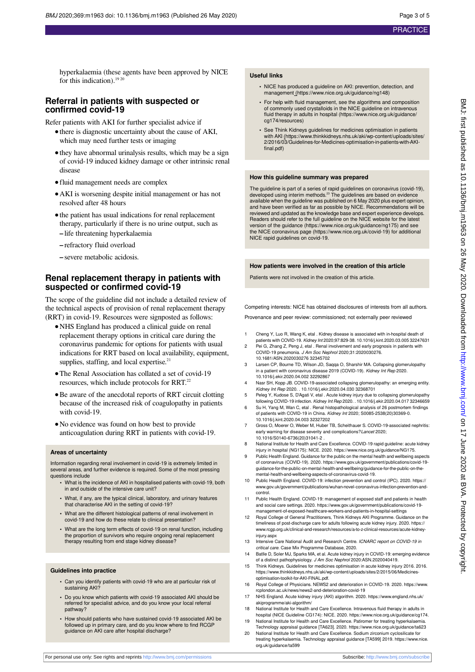hyperkalaemia (these agents have been approved by NICE for this indication).<sup>19 20</sup>

#### **Referral in patients with suspected or confirmed covid-19**

Refer patients with AKI for further specialist advice if

- **•**there is diagnostic uncertainty about the cause of AKI, which may need further tests or imaging
- **•**they have abnormal urinalysis results, which may be a sign of covid-19 induced kidney damage or other intrinsic renal disease
- **•**fluid management needs are complex
- **•**AKI is worsening despite initial management or has not resolved after 48 hours
- the patient has usual indications for renal replacement therapy, particularly if there is no urine output, such as **–** life threatening hyperkalaemia
- **–** refractory fluid overload
- **–** severe metabolic acidosis.

#### **Renal replacement therapy in patients with suspected or confirmed covid-19**

The scope of the guideline did not include a detailed review of the technical aspects of provision of renal replacement therapy (RRT) in covid-19. Resources were signposted as follows:

- **•**NHS England has produced a clinical guide on renal replacement therapy options in critical care during the coronavirus pandemic for options for patients with usual indications for RRT based on local availability, equipment, supplies, staffing, and local expertise.<sup>21</sup>
- **•**The Renal Association has collated a set of covid-19 resources, which include protocols for RRT.<sup>22</sup>
- **•**Be aware of the anecdotal reports of RRT circuit clotting because of the increased risk of coagulopathy in patients with covid-19.
- **•**No evidence was found on how best to provide anticoagulation during RRT in patients with covid-19.

#### **Areas of uncertainty**

Information regarding renal involvement in covid-19 is extremely limited in several areas, and further evidence is required. Some of the most pressing questions include

- **•** What is the incidence of AKI in hospitalised patients with covid-19, both in and outside of the intensive care unit?
- **•** What, if any, are the typical clinical, laboratory, and urinary features that characterise AKI in the setting of covid-19?
- **•** What are the different histological patterns of renal involvement in covid-19 and how do these relate to clinical presentation?
- **•** What are the long term effects of covid-19 on renal function, including the proportion of survivors who require ongoing renal replacement therapy resulting from end stage kidney disease?

#### **Guidelines into practice**

- **•** Can you identify patients with covid-19 who are at particular risk of sustaining AKI?
- **•** Do you know which patients with covid-19 associated AKI should be referred for specialist advice, and do you know your local referral pathway?
- **•** How should patients who have sustained covid-19 associated AKI be followed up in primary care, and do you know where to find RCGP guidance on AKI care after hospital discharge?

#### **Useful links**

- **•** NICE has produced a guideline on AKI: prevention, detection, and management (https://www.nice.org.uk/guidance/ng148)
- **•** For help with fluid management, see the algorithms and composition of commonly used crystalloids in the NICE guideline on intravenous fluid therapy in adults in hospital (https://www.nice.org.uk/guidance/ cg174/resources)
- **•** See Think Kidneys guidelines for medicines optimisation in patients with AKI (https://www.thinkkidneys.nhs.uk/aki/wp-content/uploads/sites/ 2/2016/03/Guidelines-for-Medicines-optimisation-in-patients-with-AKIfinal.pdf)

#### **How this guideline summary was prepared**

The guideline is part of a series of rapid guidelines on coronavirus (covid-19), developed using interim methods.<sup>23</sup> The guidelines are based on evidence available when the guideline was published on 6 May 2020 plus expert opinion, and have been verified as far as possible by NICE. Recommendations will be<br>reviewed and updated as the knowledge base and expert experience develops.<br>Readers should refer to the full guideline on the NICE website for the l version of the guidance (https://www.nice.org.uk/guidance/ng175) and see the NICE coronavirus page (https://www.nice.org.uk/covid-19) for additional NICE rapid guidelines on covid-19.

#### **How patients were involved in the creation of this article**

Patients were not involved in the creation of this article.

Competing interests: NICE has obtained disclosures of interests from all authors.

Provenance and peer review: commissioned; not externally peer reviewed

- 1 Cheng Y, Luo R, Wang K, etal . Kidney disease is associated with in-hospital death of patients with COVID-19. Kidney Int 2020;97:829-38. 10.1016/j.kint.2020.03.005 32247631
- 2 Pei G, Zhang Z, Peng J, etal . Renal involvement and early prognosis in patients with COVID-19 pneumonia. J Am Soc Nephrol 2020;31:2020030276. 10.1681/ASN.2020030276 32345702
- 3 Larsen CP, Bourne TD, Wilson JD, Saqqa O, Sharshir MA. Collapsing glomerulopathy in a patient with coronavirus disease 2019 (COVID-19). Kidney Int Rep 2020. 10.1016/j.ekir.2020.04.002 32292867
- Nasr SH, Kopp JB. COVID-19-associated collapsing glomerulopathy: an emerging entity. Kidney Int Rep 2020. . 10.1016/j.ekir.2020.04.030 32368701
- 5 Peleg Y, Kudose S, D'Agati V, etal . Acute kidney injury due to collapsing glomerulopathy following COVID-19 infection. Kidney Int Rep 2020. . 10.1016/j.ekir.2020.04.017 32346659
- 6 Su H, Yang M, Wan C, etal . Renal histopathological analysis of 26 postmortem findings of patients with COVID-19 in China. Kidney Int 2020; S0085-2538(20)30369-0. 10.1016/j.kint.2020.04.003 32327202
- 7 Gross O, Moerer O, Weber M, Huber TB, Scheithauer S. COVID-19-associated nephritis: early warning for disease severity and complications?Lancet 2020; 10.1016/S0140-6736(20)31041-2 .
- 8 National Institute for Health and Care Excellence. COVID-19 rapid guideline: acute kidney injury in hospital (NG175): NICE. 2020. https://www.nice.org.uk/guidance/NG175.
- 9 Public Health England. Guidance for the public on the mental health and wellbeing aspects of coronavirus (COVID-19). 2020. https://www.gov.uk/government/publications/covid-19 guidance-for-the-public-on-mental-health-and-wellbeing/guidance-for-the-public-on-theental-health-and-wellbeing-aspects-of-coronavirus-covid-19.
- 10 Public Health England. COVID-19: infection prevention and control (IPC). 2020. https:// www.gov.uk/government/publications/wuhan-novel-coronavirus-infection-prevention-andcontrol.
- 11 Public Health England. COVID-19: management of exposed staff and patients in health and social care settings. 2020. https://www.gov.uk/government/publications/covid-19 management-of-exposed-healthcare-workers-and-patients-in-hospital-settings
- 12 Royal College of General Practitioners, Think Kidneys AKI Programme. Guidance on the timeliness of post-discharge care for adults following acute kidney injury. 2020. https:// www.rcgp.org.uk/clinical-and-research/resources/a-to-z-clinical-resources/acute-kidneyinjury.aspx
- 13 Intensive Care National Audit and Research Centre. ICNARC report on COVID-19 in critical care. Case Mix Programme Database, 2020. 14 Batlle D, Soler MJ, Sparks MA, et al. Acute kidney injury in COVID-19: emerging evidence
- of a distinct pathophysiology. J Am Soc Nephrol 2020:ASN.2020040419.
- 15 Think Kidneys. Guidelines for medicines optimisation in acute kidney injury 2016. 2016. https://www.thinkkidneys.nhs.uk/aki/wp-content/uploads/sites/2/2015/06/Medicinesoptimisation-toolkit-for-AKI-FINAL.pdf.
- 16 Royal College of Physicians. NEWS2 and deterioration in COVID-19. 2020. https://www. rcplondon.ac.uk/news/news2-and-deterioration-covid-19
- 17 NHS England. Acute kidney injury (AKI) algorithm. 2020. https://www.england.nhs.uk/ akiprogramme/aki-algorithm/
- 18 National Institute for Health and Care Excellence. Intravenous fluid therapy in adults in hospital (NICE Guideline CG174): NICE. 2020. https://www.nice.org.uk/guidance/cg174.
- 19 National Institute for Health and Care Excellence. Patiromer for treating hyperkalaemia. Technology appraisal guidance [TA623]. 2020. https://www.nice.org.uk/guidance/ta623
- 20 National Institute for Health and Care Excellence. Sodium zirconium cyclosilicate for treating hyperkalaemia. Technology appraisal guidance [TA599] 2019. https://www.nice. org.uk/guidance/ta599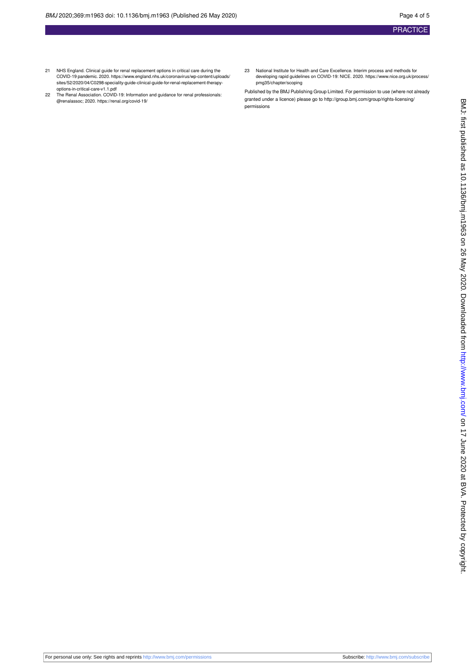- 21 NHS England. Clinical guide for renal replacement options in critical care during the COVID-19 pandemic. 2020. https://www.england.nhs.uk/coronavirus/wp-content/uploads/ sites/52/2020/04/C0298-speciality-guide-clinical-guide-for-renal-replacement-therapyoptions-in-critical-care-v1.1.pdf
- 22 The Renal Association. COVID-19: Information and guidance for renal professionals: @renalassoc; 2020. https://renal.org/covid-19/
- 23 National Institute for Health and Care Excellence. Interim process and methods for developing rapid guidelines on COVID-19: NICE. 2020. https://www.nice.org.uk/process/ pmg35/chapter/scoping

Published by the BMJ Publishing Group Limited. For permission to use (where not already granted under a licence) please go to [http://group.bmj.com/group/rights-licensing/](http://group.bmj.com/group/rights-licensing/permissions) [permissions](http://group.bmj.com/group/rights-licensing/permissions)